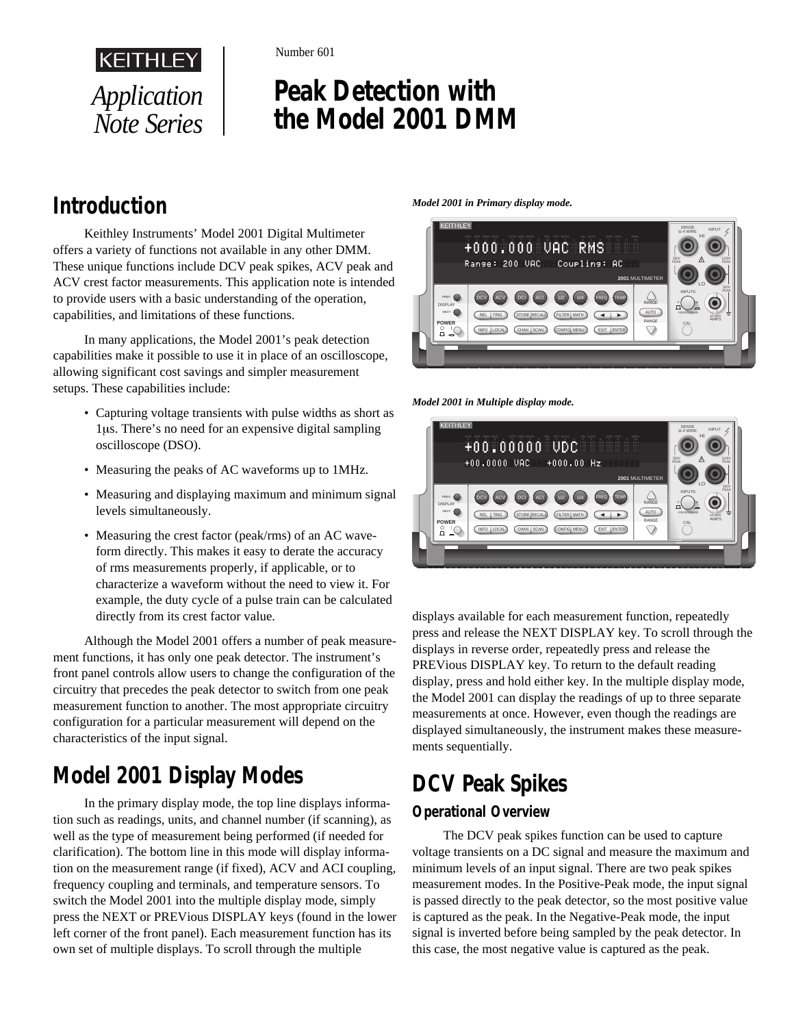

Number 601

# **Peak Detection with the Model 2001 DMM**

## **Introduction**

Keithley Instruments' Model 2001 Digital Multimeter offers a variety of functions not available in any other DMM. These unique functions include DCV peak spikes, ACV peak and ACV crest factor measurements. This application note is intended to provide users with a basic understanding of the operation, capabilities, and limitations of these functions.

In many applications, the Model 2001's peak detection capabilities make it possible to use it in place of an oscilloscope, allowing significant cost savings and simpler measurement setups. These capabilities include:

- Capturing voltage transients with pulse widths as short as 1µs. There's no need for an expensive digital sampling oscilloscope (DSO).
- Measuring the peaks of AC waveforms up to 1MHz.
- Measuring and displaying maximum and minimum signal levels simultaneously.
- Measuring the crest factor (peak/rms) of an AC waveform directly. This makes it easy to derate the accuracy of rms measurements properly, if applicable, or to characterize a waveform without the need to view it. For example, the duty cycle of a pulse train can be calculated directly from its crest factor value.

Although the Model 2001 offers a number of peak measurement functions, it has only one peak detector. The instrument's front panel controls allow users to change the configuration of the circuitry that precedes the peak detector to switch from one peak measurement function to another. The most appropriate circuitry configuration for a particular measurement will depend on the characteristics of the input signal.

## **Model 2001 Display Modes**

In the primary display mode, the top line displays information such as readings, units, and channel number (if scanning), as well as the type of measurement being performed (if needed for clarification). The bottom line in this mode will display information on the measurement range (if fixed), ACV and ACI coupling, frequency coupling and terminals, and temperature sensors. To switch the Model 2001 into the multiple display mode, simply press the NEXT or PREVious DISPLAY keys (found in the lower left corner of the front panel). Each measurement function has its own set of multiple displays. To scroll through the multiple

#### *Model 2001 in Primary display mode.*



*Model 2001 in Multiple display mode.*



displays available for each measurement function, repeatedly press and release the NEXT DISPLAY key. To scroll through the displays in reverse order, repeatedly press and release the PREVious DISPLAY key. To return to the default reading display, press and hold either key. In the multiple display mode, the Model 2001 can display the readings of up to three separate measurements at once. However, even though the readings are displayed simultaneously, the instrument makes these measurements sequentially.

## **DCV Peak Spikes**

## **Operational Overview**

The DCV peak spikes function can be used to capture voltage transients on a DC signal and measure the maximum and minimum levels of an input signal. There are two peak spikes measurement modes. In the Positive-Peak mode, the input signal is passed directly to the peak detector, so the most positive value is captured as the peak. In the Negative-Peak mode, the input signal is inverted before being sampled by the peak detector. In this case, the most negative value is captured as the peak.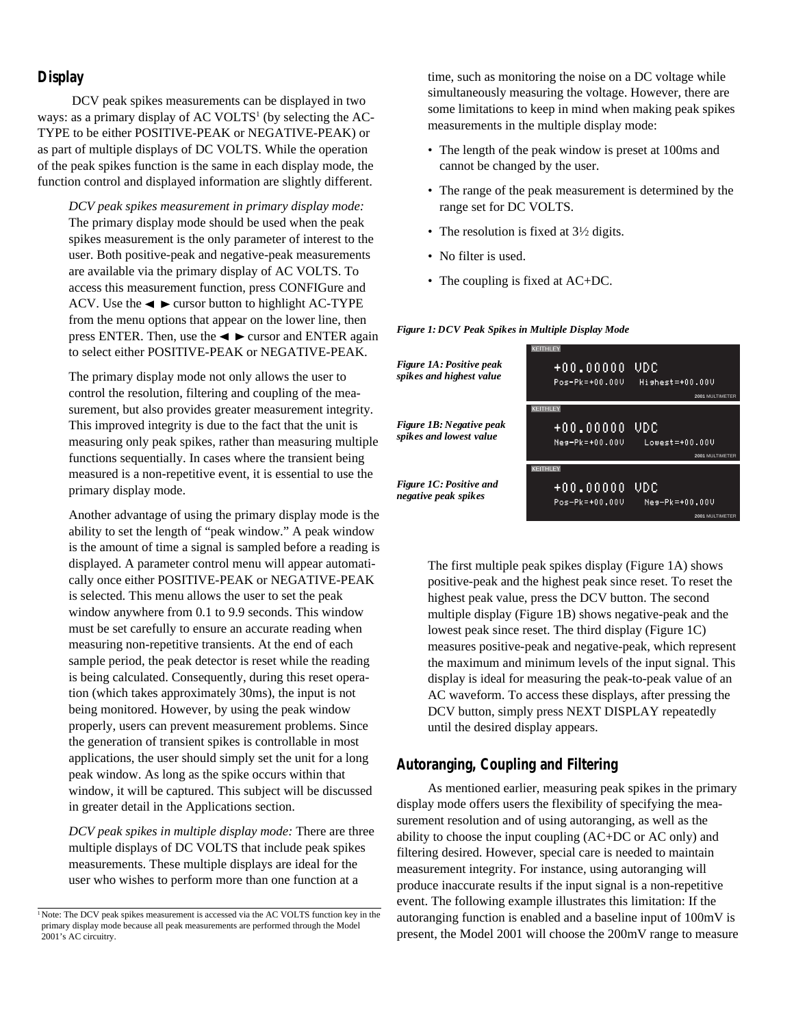#### **Display**

 DCV peak spikes measurements can be displayed in two ways: as a primary display of AC VOLTS<sup>1</sup> (by selecting the AC-TYPE to be either POSITIVE-PEAK or NEGATIVE-PEAK) or as part of multiple displays of DC VOLTS. While the operation of the peak spikes function is the same in each display mode, the function control and displayed information are slightly different.

*DCV peak spikes measurement in primary display mode:* The primary display mode should be used when the peak spikes measurement is the only parameter of interest to the user. Both positive-peak and negative-peak measurements are available via the primary display of AC VOLTS. To access this measurement function, press CONFIGure and ACV. Use the  $\triangleleft$   $\triangleright$  cursor button to highlight AC-TYPE from the menu options that appear on the lower line, then press ENTER. Then, use the  $\triangleleft$   $\triangleright$  cursor and ENTER again to select either POSITIVE-PEAK or NEGATIVE-PEAK.

The primary display mode not only allows the user to control the resolution, filtering and coupling of the measurement, but also provides greater measurement integrity. This improved integrity is due to the fact that the unit is measuring only peak spikes, rather than measuring multiple functions sequentially. In cases where the transient being measured is a non-repetitive event, it is essential to use the primary display mode.

Another advantage of using the primary display mode is the ability to set the length of "peak window." A peak window is the amount of time a signal is sampled before a reading is displayed. A parameter control menu will appear automatically once either POSITIVE-PEAK or NEGATIVE-PEAK is selected. This menu allows the user to set the peak window anywhere from 0.1 to 9.9 seconds. This window must be set carefully to ensure an accurate reading when measuring non-repetitive transients. At the end of each sample period, the peak detector is reset while the reading is being calculated. Consequently, during this reset operation (which takes approximately 30ms), the input is not being monitored. However, by using the peak window properly, users can prevent measurement problems. Since the generation of transient spikes is controllable in most applications, the user should simply set the unit for a long peak window. As long as the spike occurs within that window, it will be captured. This subject will be discussed in greater detail in the Applications section.

*DCV peak spikes in multiple display mode:* There are three multiple displays of DC VOLTS that include peak spikes measurements. These multiple displays are ideal for the user who wishes to perform more than one function at a

time, such as monitoring the noise on a DC voltage while simultaneously measuring the voltage. However, there are some limitations to keep in mind when making peak spikes measurements in the multiple display mode:

- The length of the peak window is preset at 100ms and cannot be changed by the user.
- The range of the peak measurement is determined by the range set for DC VOLTS.
- The resolution is fixed at  $3\frac{1}{2}$  digits.
- No filter is used.
- The coupling is fixed at AC+DC.

#### *Figure 1A: Positive peak* +00,000000 VDC *spikes and highest value* Pos-Pk=+00.000 Hishest=+00.00U **2001** MULTIMETER **KFITHI** *Figure 1B: Negative peak*  $+00.00000$ UDC *spikes and lowest value* Nes-Pk=+00.00V Lowest=+00.00V **2001** MULTIMETER **CELTHI EY** *Figure 1C: Positive and* +00,000000 VDC *negative peak spikes* Pos-Pk=+00.000 Nes-Pk=+00.000

The first multiple peak spikes display (Figure 1A) shows positive-peak and the highest peak since reset. To reset the highest peak value, press the DCV button. The second multiple display (Figure 1B) shows negative-peak and the lowest peak since reset. The third display (Figure 1C) measures positive-peak and negative-peak, which represent the maximum and minimum levels of the input signal. This display is ideal for measuring the peak-to-peak value of an AC waveform. To access these displays, after pressing the DCV button, simply press NEXT DISPLAY repeatedly until the desired display appears.

**2001** MULTIMETER

#### **Autoranging, Coupling and Filtering**

As mentioned earlier, measuring peak spikes in the primary display mode offers users the flexibility of specifying the measurement resolution and of using autoranging, as well as the ability to choose the input coupling (AC+DC or AC only) and filtering desired. However, special care is needed to maintain measurement integrity. For instance, using autoranging will produce inaccurate results if the input signal is a non-repetitive event. The following example illustrates this limitation: If the autoranging function is enabled and a baseline input of 100mV is present, the Model 2001 will choose the 200mV range to measure

#### *Figure 1: DCV Peak Spikes in Multiple Display Mode*

<sup>&</sup>lt;sup>1</sup>Note: The DCV peak spikes measurement is accessed via the AC VOLTS function key in the primary display mode because all peak measurements are performed through the Model 2001's AC circuitry.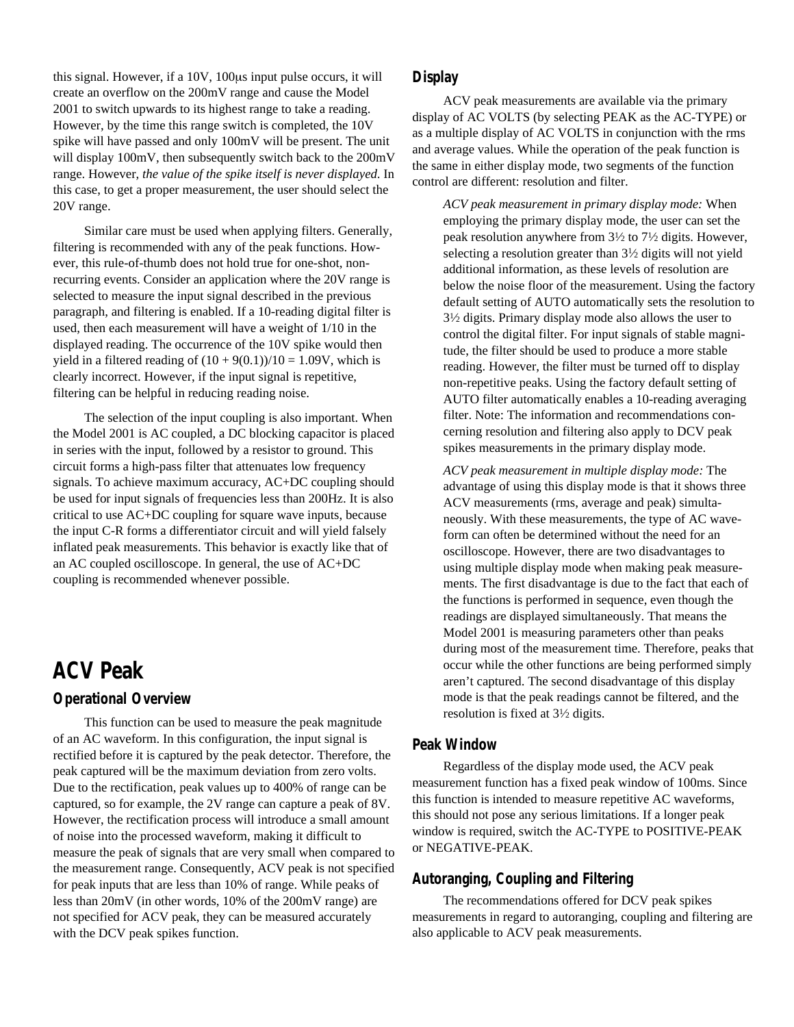this signal. However, if a 10V, 100µs input pulse occurs, it will create an overflow on the 200mV range and cause the Model 2001 to switch upwards to its highest range to take a reading. However, by the time this range switch is completed, the 10V spike will have passed and only 100mV will be present. The unit will display 100mV, then subsequently switch back to the 200mV range. However, *the value of the spike itself is never displayed*. In this case, to get a proper measurement, the user should select the 20V range.

Similar care must be used when applying filters. Generally, filtering is recommended with any of the peak functions. However, this rule-of-thumb does not hold true for one-shot, nonrecurring events. Consider an application where the 20V range is selected to measure the input signal described in the previous paragraph, and filtering is enabled. If a 10-reading digital filter is used, then each measurement will have a weight of 1/10 in the displayed reading. The occurrence of the 10V spike would then yield in a filtered reading of  $(10 + 9(0.1))/10 = 1.09V$ , which is clearly incorrect. However, if the input signal is repetitive, filtering can be helpful in reducing reading noise.

The selection of the input coupling is also important. When the Model 2001 is AC coupled, a DC blocking capacitor is placed in series with the input, followed by a resistor to ground. This circuit forms a high-pass filter that attenuates low frequency signals. To achieve maximum accuracy, AC+DC coupling should be used for input signals of frequencies less than 200Hz. It is also critical to use AC+DC coupling for square wave inputs, because the input C-R forms a differentiator circuit and will yield falsely inflated peak measurements. This behavior is exactly like that of an AC coupled oscilloscope. In general, the use of AC+DC coupling is recommended whenever possible.

## **ACV Peak**

#### **Operational Overview**

This function can be used to measure the peak magnitude of an AC waveform. In this configuration, the input signal is rectified before it is captured by the peak detector. Therefore, the peak captured will be the maximum deviation from zero volts. Due to the rectification, peak values up to 400% of range can be captured, so for example, the 2V range can capture a peak of 8V. However, the rectification process will introduce a small amount of noise into the processed waveform, making it difficult to measure the peak of signals that are very small when compared to the measurement range. Consequently, ACV peak is not specified for peak inputs that are less than 10% of range. While peaks of less than 20mV (in other words, 10% of the 200mV range) are not specified for ACV peak, they can be measured accurately with the DCV peak spikes function.

### **Display**

ACV peak measurements are available via the primary display of AC VOLTS (by selecting PEAK as the AC-TYPE) or as a multiple display of AC VOLTS in conjunction with the rms and average values. While the operation of the peak function is the same in either display mode, two segments of the function control are different: resolution and filter.

*ACV peak measurement in primary display mode:* When employing the primary display mode, the user can set the peak resolution anywhere from 31⁄2 to 71⁄2 digits. However, selecting a resolution greater than 31⁄2 digits will not yield additional information, as these levels of resolution are below the noise floor of the measurement. Using the factory default setting of AUTO automatically sets the resolution to  $3\frac{1}{2}$  digits. Primary display mode also allows the user to control the digital filter. For input signals of stable magnitude, the filter should be used to produce a more stable reading. However, the filter must be turned off to display non-repetitive peaks. Using the factory default setting of AUTO filter automatically enables a 10-reading averaging filter. Note: The information and recommendations concerning resolution and filtering also apply to DCV peak spikes measurements in the primary display mode.

*ACV peak measurement in multiple display mode:* The advantage of using this display mode is that it shows three ACV measurements (rms, average and peak) simultaneously. With these measurements, the type of AC waveform can often be determined without the need for an oscilloscope. However, there are two disadvantages to using multiple display mode when making peak measurements. The first disadvantage is due to the fact that each of the functions is performed in sequence, even though the readings are displayed simultaneously. That means the Model 2001 is measuring parameters other than peaks during most of the measurement time. Therefore, peaks that occur while the other functions are being performed simply aren't captured. The second disadvantage of this display mode is that the peak readings cannot be filtered, and the resolution is fixed at 31⁄2 digits.

#### **Peak Window**

Regardless of the display mode used, the ACV peak measurement function has a fixed peak window of 100ms. Since this function is intended to measure repetitive AC waveforms, this should not pose any serious limitations. If a longer peak window is required, switch the AC-TYPE to POSITIVE-PEAK or NEGATIVE-PEAK.

#### **Autoranging, Coupling and Filtering**

The recommendations offered for DCV peak spikes measurements in regard to autoranging, coupling and filtering are also applicable to ACV peak measurements.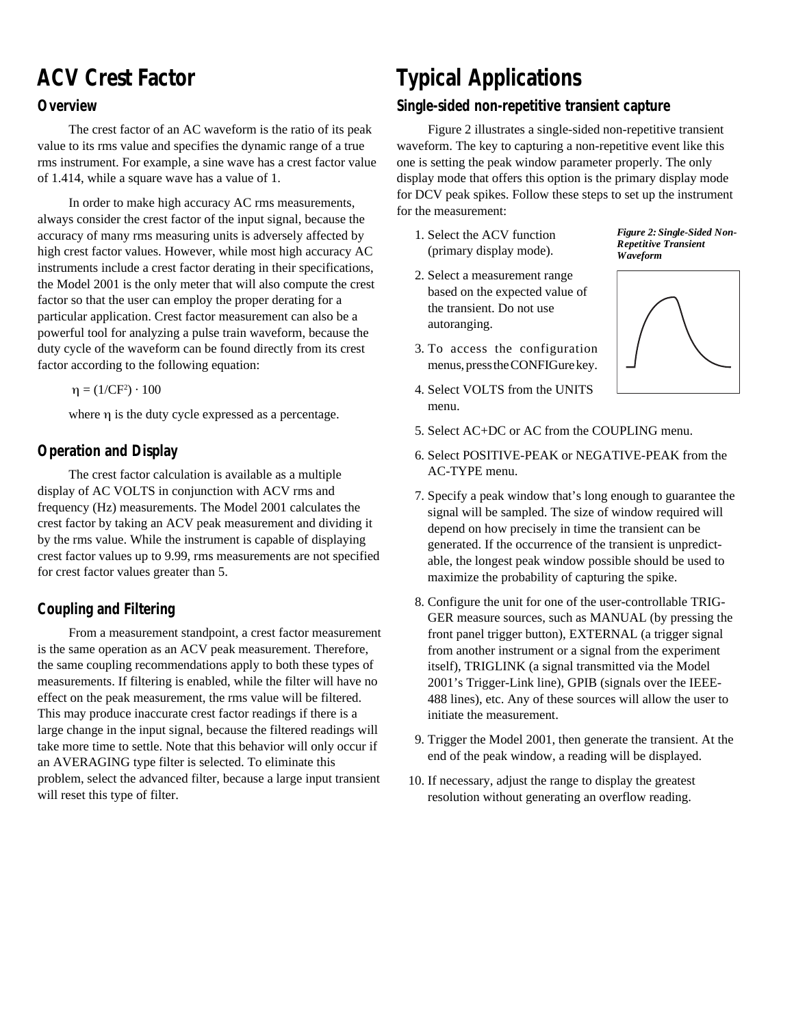## **ACV Crest Factor**

### **Overview**

The crest factor of an AC waveform is the ratio of its peak value to its rms value and specifies the dynamic range of a true rms instrument. For example, a sine wave has a crest factor value of 1.414, while a square wave has a value of 1.

In order to make high accuracy AC rms measurements, always consider the crest factor of the input signal, because the accuracy of many rms measuring units is adversely affected by high crest factor values. However, while most high accuracy AC instruments include a crest factor derating in their specifications, the Model 2001 is the only meter that will also compute the crest factor so that the user can employ the proper derating for a particular application. Crest factor measurement can also be a powerful tool for analyzing a pulse train waveform, because the duty cycle of the waveform can be found directly from its crest factor according to the following equation:

 $η = (1/CF<sup>2</sup>) \cdot 100$ 

where η is the duty cycle expressed as a percentage.

### **Operation and Display**

The crest factor calculation is available as a multiple display of AC VOLTS in conjunction with ACV rms and frequency (Hz) measurements. The Model 2001 calculates the crest factor by taking an ACV peak measurement and dividing it by the rms value. While the instrument is capable of displaying crest factor values up to 9.99, rms measurements are not specified for crest factor values greater than 5.

### **Coupling and Filtering**

From a measurement standpoint, a crest factor measurement is the same operation as an ACV peak measurement. Therefore, the same coupling recommendations apply to both these types of measurements. If filtering is enabled, while the filter will have no effect on the peak measurement, the rms value will be filtered. This may produce inaccurate crest factor readings if there is a large change in the input signal, because the filtered readings will take more time to settle. Note that this behavior will only occur if an AVERAGING type filter is selected. To eliminate this problem, select the advanced filter, because a large input transient will reset this type of filter.

## **Typical Applications**

### **Single-sided non-repetitive transient capture**

Figure 2 illustrates a single-sided non-repetitive transient waveform. The key to capturing a non-repetitive event like this one is setting the peak window parameter properly. The only display mode that offers this option is the primary display mode for DCV peak spikes. Follow these steps to set up the instrument for the measurement:

- 1. Select the ACV function (primary display mode).
- 2. Select a measurement range based on the expected value of the transient. Do not use autoranging.
- 3. To access the configuration menus, press the CONFIGure key.
- 4. Select VOLTS from the UNITS menu.

*Figure 2: Single-Sided Non-Repetitive Transient Waveform*



- 5. Select AC+DC or AC from the COUPLING menu.
- 6. Select POSITIVE-PEAK or NEGATIVE-PEAK from the AC-TYPE menu.
- 7. Specify a peak window that's long enough to guarantee the signal will be sampled. The size of window required will depend on how precisely in time the transient can be generated. If the occurrence of the transient is unpredictable, the longest peak window possible should be used to maximize the probability of capturing the spike.
- 8. Configure the unit for one of the user-controllable TRIG-GER measure sources, such as MANUAL (by pressing the front panel trigger button), EXTERNAL (a trigger signal from another instrument or a signal from the experiment itself), TRIGLINK (a signal transmitted via the Model 2001's Trigger-Link line), GPIB (signals over the IEEE-488 lines), etc. Any of these sources will allow the user to initiate the measurement.
- 9. Trigger the Model 2001, then generate the transient. At the end of the peak window, a reading will be displayed.
- 10. If necessary, adjust the range to display the greatest resolution without generating an overflow reading.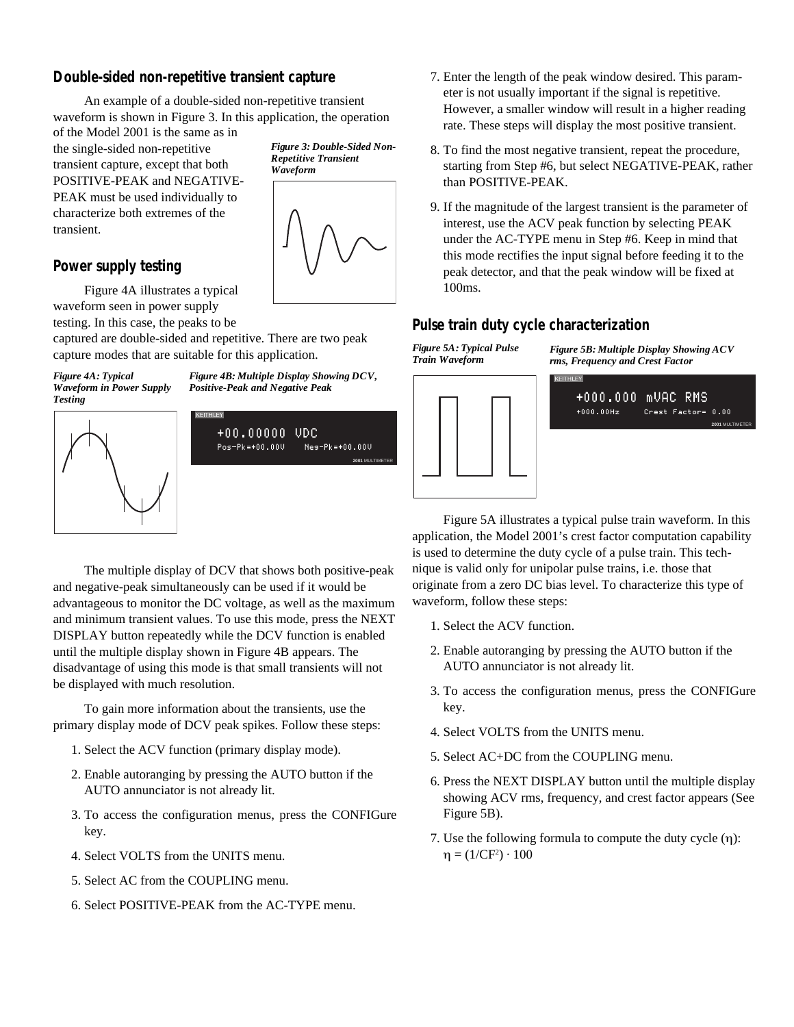### **Double-sided non-repetitive transient capture**

An example of a double-sided non-repetitive transient waveform is shown in Figure 3. In this application, the operation

of the Model 2001 is the same as in the single-sided non-repetitive transient capture, except that both POSITIVE-PEAK and NEGATIVE-PEAK must be used individually to characterize both extremes of the transient.

### **Power supply testing**

Figure 4A illustrates a typical waveform seen in power supply

testing. In this case, the peaks to be

*Figure 4A: Typical Waveform in Power Supply Testing*







captured are double-sided and repetitive. There are two peak capture modes that are suitable for this application.

> *Figure 4B: Multiple Display Showing DCV, Positive-Peak and Negative Peak*



The multiple display of DCV that shows both positive-peak and negative-peak simultaneously can be used if it would be advantageous to monitor the DC voltage, as well as the maximum and minimum transient values. To use this mode, press the NEXT DISPLAY button repeatedly while the DCV function is enabled until the multiple display shown in Figure 4B appears. The disadvantage of using this mode is that small transients will not be displayed with much resolution.

To gain more information about the transients, use the primary display mode of DCV peak spikes. Follow these steps:

- 1. Select the ACV function (primary display mode).
- 2. Enable autoranging by pressing the AUTO button if the AUTO annunciator is not already lit.
- 3. To access the configuration menus, press the CONFIGure key.
- 4. Select VOLTS from the UNITS menu.
- 5. Select AC from the COUPLING menu.
- 6. Select POSITIVE-PEAK from the AC-TYPE menu.
- 7. Enter the length of the peak window desired. This parameter is not usually important if the signal is repetitive. However, a smaller window will result in a higher reading rate. These steps will display the most positive transient.
- 8. To find the most negative transient, repeat the procedure, starting from Step #6, but select NEGATIVE-PEAK, rather than POSITIVE-PEAK.
- 9. If the magnitude of the largest transient is the parameter of interest, use the ACV peak function by selecting PEAK under the AC-TYPE menu in Step #6. Keep in mind that this mode rectifies the input signal before feeding it to the peak detector, and that the peak window will be fixed at 100ms.

## **Pulse train duty cycle characterization**

*Figure 5A: Typical Pulse Train Waveform*



*Figure 5B: Multiple Display Showing ACV rms, Frequency and Crest Factor*



Figure 5A illustrates a typical pulse train waveform. In this application, the Model 2001's crest factor computation capability is used to determine the duty cycle of a pulse train. This technique is valid only for unipolar pulse trains, i.e. those that originate from a zero DC bias level. To characterize this type of waveform, follow these steps:

- 1. Select the ACV function.
- 2. Enable autoranging by pressing the AUTO button if the AUTO annunciator is not already lit.
- 3. To access the configuration menus, press the CONFIGure key.
- 4. Select VOLTS from the UNITS menu.
- 5. Select AC+DC from the COUPLING menu.
- 6. Press the NEXT DISPLAY button until the multiple display showing ACV rms, frequency, and crest factor appears (See Figure 5B).
- 7. Use the following formula to compute the duty cycle (η):  $η = (1/CF<sup>2</sup>) \cdot 100$